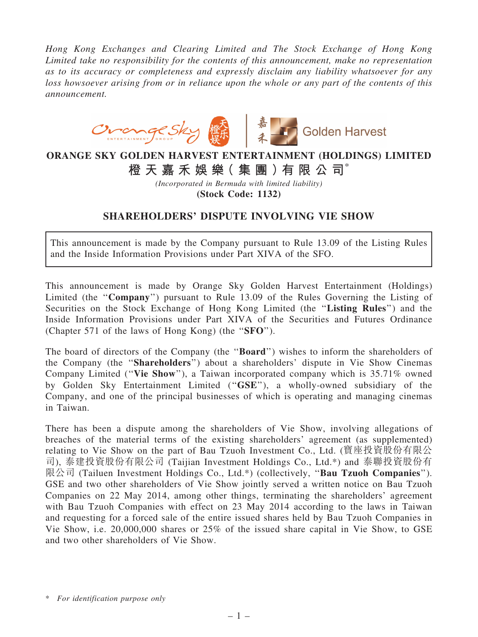*Hong Kong Exchanges and Clearing Limited and The Stock Exchange of Hong Kong Limited take no responsibility for the contents of this announcement, make no representation as to its accuracy or completeness and expressly disclaim any liability whatsoever for any loss howsoever arising from or in reliance upon the whole or any part of the contents of this announcement.*



## ORANGE SKY GOLDEN HARVEST ENTERTAINMENT (HOLDINGS) LIMITED 橙 天 嘉 禾 娛 樂( 集 團 )有 限 公 司\*

*(Incorporated in Bermuda with limited liability)*

(Stock Code: 1132)

## SHAREHOLDERS' DISPUTE INVOLVING VIE SHOW

This announcement is made by the Company pursuant to Rule 13.09 of the Listing Rules and the Inside Information Provisions under Part XIVA of the SFO.

This announcement is made by Orange Sky Golden Harvest Entertainment (Holdings) Limited (the "Company") pursuant to Rule 13.09 of the Rules Governing the Listing of Securities on the Stock Exchange of Hong Kong Limited (the "Listing Rules") and the Inside Information Provisions under Part XIVA of the Securities and Futures Ordinance (Chapter 571 of the laws of Hong Kong) (the ''SFO'').

The board of directors of the Company (the ''Board'') wishes to inform the shareholders of the Company (the ''Shareholders'') about a shareholders' dispute in Vie Show Cinemas Company Limited (''Vie Show''), a Taiwan incorporated company which is 35.71% owned by Golden Sky Entertainment Limited (''GSE''), a wholly-owned subsidiary of the Company, and one of the principal businesses of which is operating and managing cinemas in Taiwan.

There has been a dispute among the shareholders of Vie Show, involving allegations of breaches of the material terms of the existing shareholders' agreement (as supplemented) relating to Vie Show on the part of Bau Tzuoh Investment Co., Ltd. (寶座投資股份有限公 司), 泰建投資股份有限公司 (Taijian Investment Holdings Co., Ltd.\*) and 泰聯投資股份有 限公司 (Tailuen Investment Holdings Co., Ltd.\*) (collectively, ''Bau Tzuoh Companies''). GSE and two other shareholders of Vie Show jointly served a written notice on Bau Tzuoh Companies on 22 May 2014, among other things, terminating the shareholders' agreement with Bau Tzuoh Companies with effect on 23 May 2014 according to the laws in Taiwan and requesting for a forced sale of the entire issued shares held by Bau Tzuoh Companies in Vie Show, i.e. 20,000,000 shares or 25% of the issued share capital in Vie Show, to GSE and two other shareholders of Vie Show.

<sup>\*</sup> *For identification purpose only*